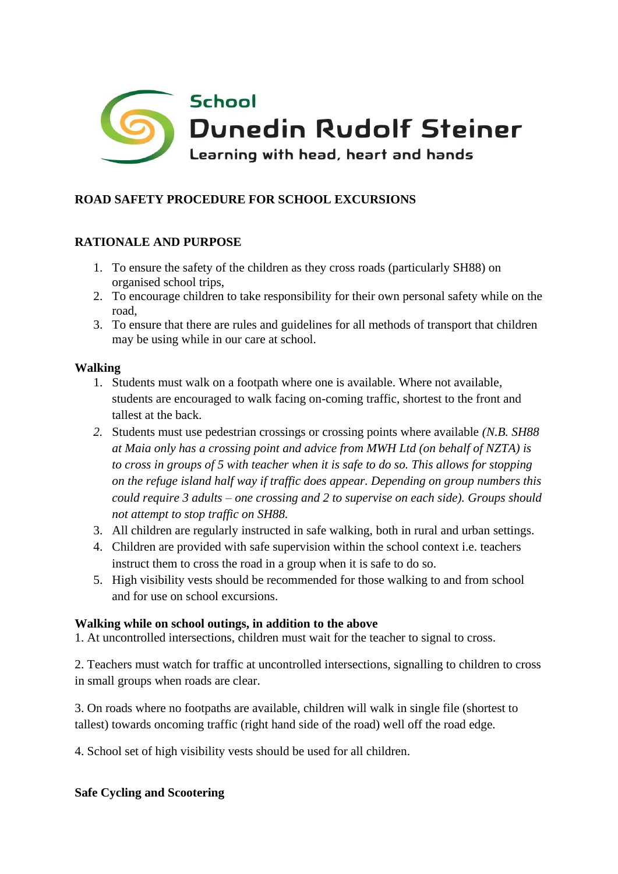

# **ROAD SAFETY PROCEDURE FOR SCHOOL EXCURSIONS**

#### **RATIONALE AND PURPOSE**

- 1. To ensure the safety of the children as they cross roads (particularly SH88) on organised school trips,
- 2. To encourage children to take responsibility for their own personal safety while on the road,
- 3. To ensure that there are rules and guidelines for all methods of transport that children may be using while in our care at school.

#### **Walking**

- 1. Students must walk on a footpath where one is available. Where not available, students are encouraged to walk facing on-coming traffic, shortest to the front and tallest at the back.
- *2.* Students must use pedestrian crossings or crossing points where available *(N.B. SH88 at Maia only has a crossing point and advice from MWH Ltd (on behalf of NZTA) is to cross in groups of 5 with teacher when it is safe to do so. This allows for stopping on the refuge island half way if traffic does appear. Depending on group numbers this could require 3 adults – one crossing and 2 to supervise on each side). Groups should not attempt to stop traffic on SH88.*
- 3. All children are regularly instructed in safe walking, both in rural and urban settings.
- 4. Children are provided with safe supervision within the school context i.e. teachers instruct them to cross the road in a group when it is safe to do so.
- 5. High visibility vests should be recommended for those walking to and from school and for use on school excursions.

#### **Walking while on school outings, in addition to the above**

1. At uncontrolled intersections, children must wait for the teacher to signal to cross.

2. Teachers must watch for traffic at uncontrolled intersections, signalling to children to cross in small groups when roads are clear.

3. On roads where no footpaths are available, children will walk in single file (shortest to tallest) towards oncoming traffic (right hand side of the road) well off the road edge.

4. School set of high visibility vests should be used for all children.

#### **Safe Cycling and Scootering**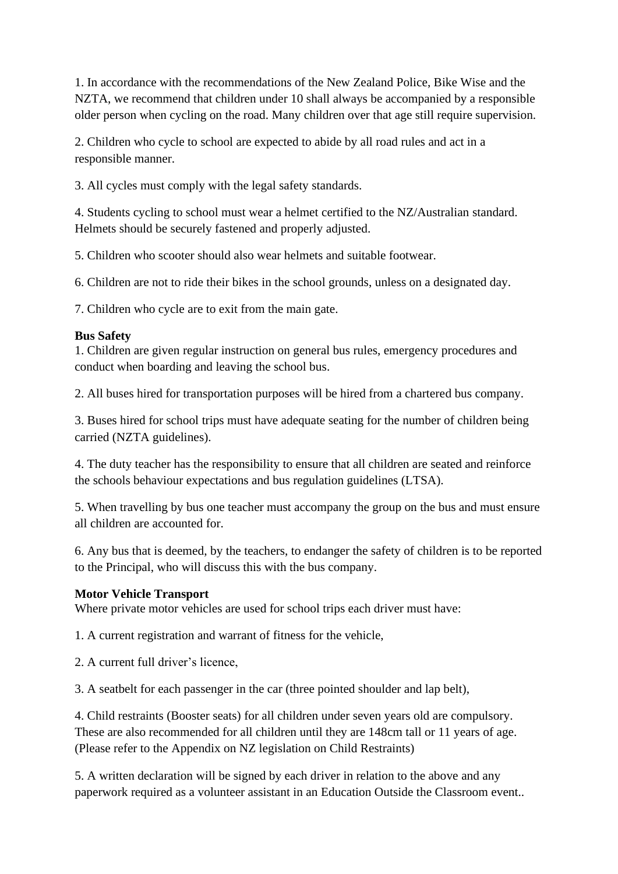1. In accordance with the recommendations of the New Zealand Police, Bike Wise and the NZTA, we recommend that children under 10 shall always be accompanied by a responsible older person when cycling on the road. Many children over that age still require supervision.

2. Children who cycle to school are expected to abide by all road rules and act in a responsible manner.

3. All cycles must comply with the legal safety standards.

4. Students cycling to school must wear a helmet certified to the NZ/Australian standard. Helmets should be securely fastened and properly adjusted.

5. Children who scooter should also wear helmets and suitable footwear.

6. Children are not to ride their bikes in the school grounds, unless on a designated day.

7. Children who cycle are to exit from the main gate.

## **Bus Safety**

1. Children are given regular instruction on general bus rules, emergency procedures and conduct when boarding and leaving the school bus.

2. All buses hired for transportation purposes will be hired from a chartered bus company.

3. Buses hired for school trips must have adequate seating for the number of children being carried (NZTA guidelines).

4. The duty teacher has the responsibility to ensure that all children are seated and reinforce the schools behaviour expectations and bus regulation guidelines (LTSA).

5. When travelling by bus one teacher must accompany the group on the bus and must ensure all children are accounted for.

6. Any bus that is deemed, by the teachers, to endanger the safety of children is to be reported to the Principal, who will discuss this with the bus company.

## **Motor Vehicle Transport**

Where private motor vehicles are used for school trips each driver must have:

1. A current registration and warrant of fitness for the vehicle,

2. A current full driver's licence,

3. A seatbelt for each passenger in the car (three pointed shoulder and lap belt),

4. Child restraints (Booster seats) for all children under seven years old are compulsory. These are also recommended for all children until they are 148cm tall or 11 years of age. (Please refer to the Appendix on NZ legislation on Child Restraints)

5. A written declaration will be signed by each driver in relation to the above and any paperwork required as a volunteer assistant in an Education Outside the Classroom event..